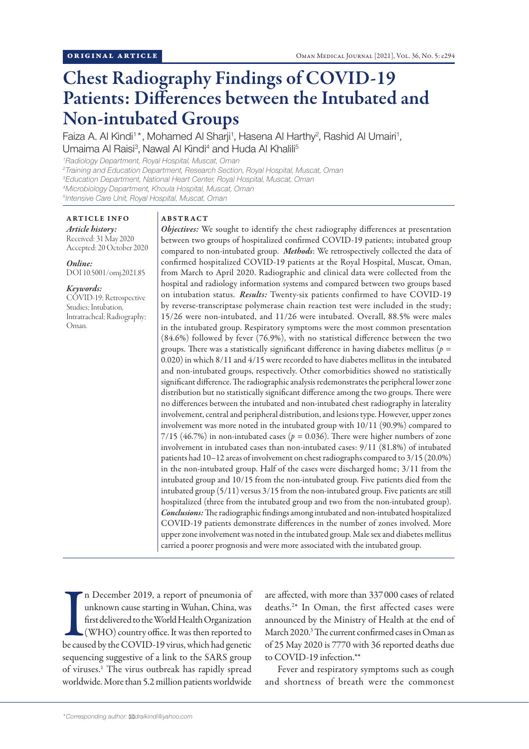# Chest Radiography Findings of COVID-19 Patients: Differences between the Intubated and Non-intubated Groups

Faiza A. Al Kindi<sup>1\*</sup>, Mohamed Al Sharji<sup>1</sup>, Hasena Al Harthy<sup>2</sup>, Rashid Al Umairi<sup>1</sup>, Umaima Al Raisi<sup>3</sup>, Nawal Al Kindi<sup>4</sup> and Huda Al Khalili<sup>5</sup>

*1 Radiology Department, Royal Hospital, Muscat, Oman*

*2 Training and Education Department, Research Section, Royal Hospital, Muscat, Oman*

*3 Education Department, National Heart Center, Royal Hospital, Muscat, Oman*

*4 Microbiology Department, Khoula Hospital, Muscat, Oman*

*5 Intensive Care Unit, Royal Hospital, Muscat, Oman*

# ARTICLE INFO

*Article history:* Received: 31 May 2020 Accepted: 20 October 2020

#### *Online:*

DOI 10.5001/omj.2021.85

#### *Keywords:*

COVID-19; Retrospective Studies; Intubation, Intratracheal; Radiography; Oman.

## ABSTRACT

*Objectives:* We sought to identify the chest radiography differences at presentation between two groups of hospitalized confirmed COVID-19 patients; intubated group compared to non-intubated group. *Methods*: We retrospectively collected the data of confirmed hospitalized COVID-19 patients at the Royal Hospital, Muscat, Oman, from March to April 2020. Radiographic and clinical data were collected from the hospital and radiology information systems and compared between two groups based on intubation status. *Results:* Twenty-six patients confirmed to have COVID-19 by reverse-transcriptase polymerase chain reaction test were included in the study; 15/26 were non-intubated, and 11/26 were intubated. Overall, 88.5% were males in the intubated group. Respiratory symptoms were the most common presentation (84.6%) followed by fever (76.9%), with no statistical difference between the two groups. There was a statistically significant difference in having diabetes mellitus (*p =*  0.020) in which 8/11 and 4/15 were recorded to have diabetes mellitus in the intubated and non-intubated groups, respectively. Other comorbidities showed no statistically significant difference. The radiographic analysis redemonstrates the peripheral lower zone distribution but no statistically significant difference among the two groups. There were no differences between the intubated and non-intubated chest radiography in laterality involvement, central and peripheral distribution, and lesions type. However, upper zones involvement was more noted in the intubated group with 10/11 (90.9%) compared to 7/15 (46.7%) in non-intubated cases (*p =* 0.036). There were higher numbers of zone involvement in intubated cases than non-intubated cases: 9/11 (81.8%) of intubated patients had 10–12 areas of involvement on chest radiographs compared to 3/15 (20.0%) in the non-intubated group. Half of the cases were discharged home; 3/11 from the intubated group and 10/15 from the non-intubated group. Five patients died from the intubated group (5/11) versus 3/15 from the non-intubated group. Five patients are still hospitalized (three from the intubated group and two from the non-intubated group). *Conclusions:* The radiographic findings among intubated and non-intubated hospitalized COVID-19 patients demonstrate differences in the number of zones involved. More upper zone involvement was noted in the intubated group. Male sex and diabetes mellitus carried a poorer prognosis and were more associated with the intubated group.

In December 2019, a report of pneumonia of<br>unknown cause starting in Wuhan, China, was<br>first delivered to the World Health Organization<br>(WHO) country office. It was then reported to<br>be caused by the COVID-19 virus, which h n December 2019, a report of pneumonia of unknown cause starting in Wuhan, China, was first delivered to the World Health Organization (WHO) country office. It was then reported to sequencing suggestive of a link to the SARS group of viruses.<sup>1</sup> The virus outbreak has rapidly spread worldwide. More than 5.2 million patients worldwide

are affected, with more than 337000 cases of related deaths.2 \* In Oman, the first affected cases were announced by the Ministry of Health at the end of March 2020.3 The current confirmed cases in Oman as of 25 May 2020 is 7770 with 36 reported deaths due to COVID-19 infection.\*\*

Fever and respiratory symptoms such as cough and shortness of breath were the commonest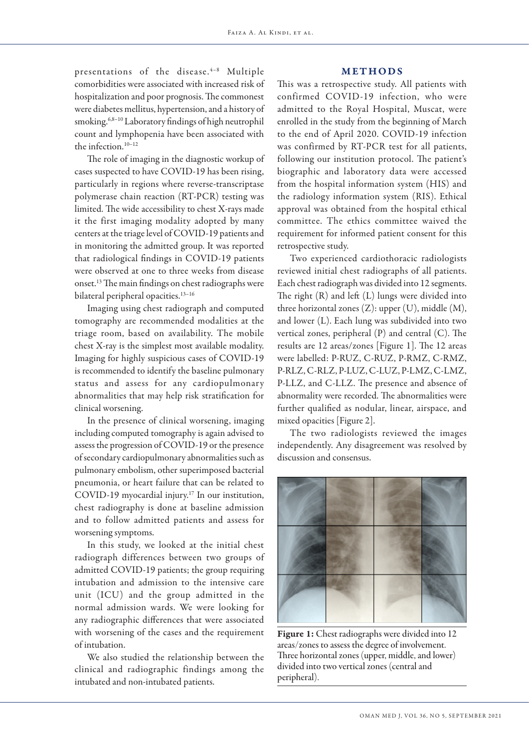#### METHODS

presentations of the disease.<sup>4-8</sup> Multiple comorbidities were associated with increased risk of hospitalization and poor prognosis. The commonest were diabetes mellitus, hypertension, and a history of smoking.<sup>6,8-10</sup> Laboratory findings of high neutrophil count and lymphopenia have been associated with the infection.<sup>10-12</sup>

The role of imaging in the diagnostic workup of cases suspected to have COVID-19 has been rising, particularly in regions where reverse-transcriptase polymerase chain reaction (RT-PCR) testing was limited. The wide accessibility to chest X-rays made it the first imaging modality adopted by many centers at the triage level of COVID-19 patients and in monitoring the admitted group. It was reported that radiological findings in COVID-19 patients were observed at one to three weeks from disease onset.13 The main findings on chest radiographs were bilateral peripheral opacities.<sup>13-16</sup>

Imaging using chest radiograph and computed tomography are recommended modalities at the triage room, based on availability. The mobile chest X-ray is the simplest most available modality. Imaging for highly suspicious cases of COVID-19 is recommended to identify the baseline pulmonary status and assess for any cardiopulmonary abnormalities that may help risk stratification for clinical worsening.

In the presence of clinical worsening, imaging including computed tomography is again advised to assess the progression of COVID-19 or the presence of secondary cardiopulmonary abnormalities such as pulmonary embolism, other superimposed bacterial pneumonia, or heart failure that can be related to COVID-19 myocardial injury.17 In our institution, chest radiography is done at baseline admission and to follow admitted patients and assess for worsening symptoms.

In this study, we looked at the initial chest radiograph differences between two groups of admitted COVID-19 patients; the group requiring intubation and admission to the intensive care unit (ICU) and the group admitted in the normal admission wards. We were looking for any radiographic differences that were associated with worsening of the cases and the requirement of intubation.

We also studied the relationship between the clinical and radiographic findings among the intubated and non-intubated patients.

This was a retrospective study. All patients with confirmed COVID-19 infection, who were admitted to the Royal Hospital, Muscat, were enrolled in the study from the beginning of March to the end of April 2020. COVID-19 infection was confirmed by RT-PCR test for all patients, following our institution protocol. The patient's biographic and laboratory data were accessed from the hospital information system (HIS) and the radiology information system (RIS). Ethical approval was obtained from the hospital ethical committee. The ethics committee waived the requirement for informed patient consent for this retrospective study.

Two experienced cardiothoracic radiologists reviewed initial chest radiographs of all patients. Each chest radiograph was divided into 12 segments. The right (R) and left (L) lungs were divided into three horizontal zones (Z): upper (U), middle (M), and lower (L). Each lung was subdivided into two vertical zones, peripheral (P) and central (C). The results are 12 areas/zones [Figure 1]. The 12 areas were labelled: P-RUZ, C-RUZ, P-RMZ, C-RMZ, P-RLZ, C-RLZ, P-LUZ, C-LUZ, P-LMZ, C-LMZ, P-LLZ, and C-LLZ. The presence and absence of abnormality were recorded. The abnormalities were further qualified as nodular, linear, airspace, and mixed opacities [Figure 2].

The two radiologists reviewed the images independently. Any disagreement was resolved by discussion and consensus.



Figure 1: Chest radiographs were divided into 12 areas/zones to assess the degree of involvement. Three horizontal zones (upper, middle, and lower) divided into two vertical zones (central and peripheral).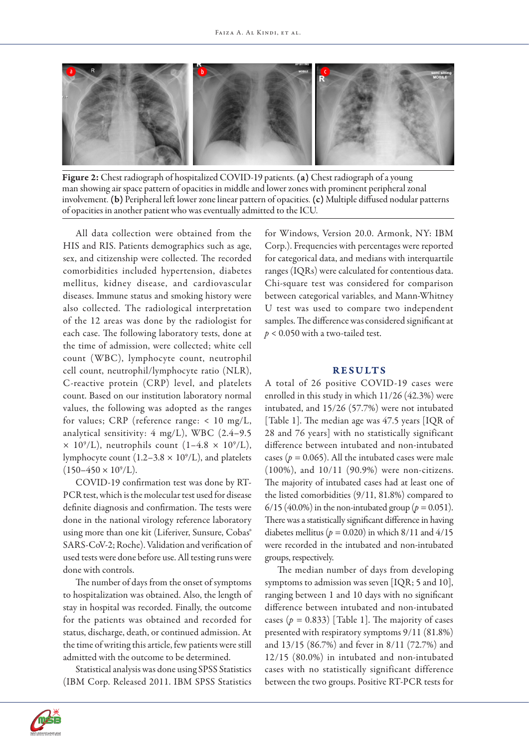

Figure 2: Chest radiograph of hospitalized COVID-19 patients. (a) Chest radiograph of a young man showing air space pattern of opacities in middle and lower zones with prominent peripheral zonal involvement. (b) Peripheral left lower zone linear pattern of opacities. (c) Multiple diffused nodular patterns of opacities in another patient who was eventually admitted to the ICU.

All data collection were obtained from the HIS and RIS. Patients demographics such as age, sex, and citizenship were collected. The recorded comorbidities included hypertension, diabetes mellitus, kidney disease, and cardiovascular diseases. Immune status and smoking history were also collected. The radiological interpretation of the 12 areas was done by the radiologist for each case. The following laboratory tests, done at the time of admission, were collected; white cell count (WBC), lymphocyte count, neutrophil cell count, neutrophil/lymphocyte ratio (NLR), C-reactive protein (CRP) level, and platelets count. Based on our institution laboratory normal values, the following was adopted as the ranges for values; CRP (reference range: < 10 mg/L, analytical sensitivity: 4 mg/L), WBC (2.4–9.5  $\times$  10<sup>9</sup>/L), neutrophils count (1–4.8  $\times$  10<sup>9</sup>/L), lymphocyte count (1.2–3.8  $\times$  10<sup>9</sup>/L), and platelets  $(150 - 450 \times 10^9$ /L).

COVID-19 confirmation test was done by RT-PCR test, which is the molecular test used for disease definite diagnosis and confirmation. The tests were done in the national virology reference laboratory using more than one kit (Liferiver, Sunsure, Cobas® SARS-CoV-2; Roche). Validation and verification of used tests were done before use. All testing runs were done with controls.

The number of days from the onset of symptoms to hospitalization was obtained. Also, the length of stay in hospital was recorded. Finally, the outcome for the patients was obtained and recorded for status, discharge, death, or continued admission. At the time of writing this article, few patients were still admitted with the outcome to be determined.

Statistical analysis was done using SPSS Statistics (IBM Corp. Released 2011. IBM SPSS Statistics

for Windows, Version 20.0. Armonk, NY: IBM Corp.). Frequencies with percentages were reported for categorical data, and medians with interquartile ranges (IQRs) were calculated for contentious data. Chi-square test was considered for comparison between categorical variables, and Mann-Whitney U test was used to compare two independent samples. The difference was considered significant at  $p < 0.050$  with a two-tailed test.

### RESULTS

A total of 26 positive COVID-19 cases were enrolled in this study in which 11/26 (42.3%) were intubated, and 15/26 (57.7%) were not intubated [Table 1]. The median age was 47.5 years [IQR of 28 and 76 years] with no statistically significant difference between intubated and non-intubated cases ( $p = 0.065$ ). All the intubated cases were male (100%), and 10/11 (90.9%) were non-citizens. The majority of intubated cases had at least one of the listed comorbidities (9/11, 81.8%) compared to 6/15 (40.0%) in the non-intubated group ( $p = 0.051$ ). There was a statistically significant difference in having diabetes mellitus ( $p = 0.020$ ) in which 8/11 and 4/15 were recorded in the intubated and non-intubated groups, respectively.

The median number of days from developing symptoms to admission was seven [IQR; 5 and 10], ranging between 1 and 10 days with no significant difference between intubated and non-intubated cases  $(p = 0.833)$  [Table 1]. The majority of cases presented with respiratory symptoms 9/11 (81.8%) and 13/15 (86.7%) and fever in 8/11 (72.7%) and 12/15 (80.0%) in intubated and non-intubated cases with no statistically significant difference between the two groups. Positive RT-PCR tests for

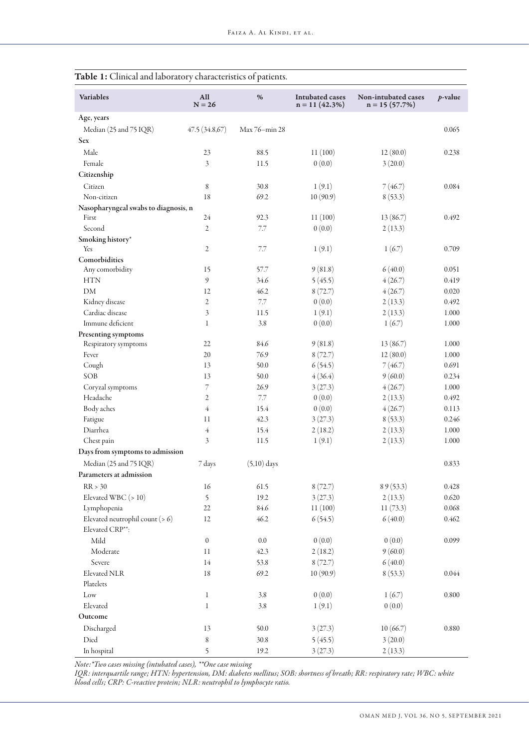| <b>Variables</b>                     | All<br>$N = 26$  | %             | <b>Intubated cases</b><br>$n = 11(42.3%)$ | Non-intubated cases<br>$n = 15(57.7%)$ | $p$ -value |
|--------------------------------------|------------------|---------------|-------------------------------------------|----------------------------------------|------------|
| Age, years                           |                  |               |                                           |                                        |            |
| Median (25 and 75 IQR)               | 47.5(34.8,67)    | Max 76-min 28 |                                           |                                        | 0.065      |
| <b>Sex</b>                           |                  |               |                                           |                                        |            |
| Male                                 | 23               | 88.5          | 11(100)                                   | 12(80.0)                               | 0.238      |
| Female                               | 3                | 11.5          | 0(0.0)                                    | 3(20.0)                                |            |
| Citizenship                          |                  |               |                                           |                                        |            |
| Citizen                              | 8                | 30.8          | 1(9.1)                                    | 7(46.7)                                | 0.084      |
| Non-citizen                          | 18               | 69.2          | 10(90.9)                                  | 8(53.3)                                |            |
| Nasopharyngeal swabs to diagnosis, n |                  |               |                                           |                                        |            |
| First                                | 24               | 92.3          | 11(100)                                   | 13(86.7)                               | 0.492      |
| Second                               | 2                | 7.7           | 0(0.0)                                    | 2(13.3)                                |            |
| Smoking history*                     |                  |               |                                           |                                        |            |
| Yes                                  | 2                | 7.7           | 1(9.1)                                    | 1(6.7)                                 | 0.709      |
| Comorbidities                        |                  |               |                                           |                                        |            |
| Any comorbidity                      | 15               | 57.7          | 9(81.8)                                   | 6(40.0)                                | 0.051      |
| <b>HTN</b>                           | 9                | 34.6          | 5(45.5)                                   | 4(26.7)                                | 0.419      |
| DM                                   | 12               | 46.2          | 8(72.7)                                   | 4(26.7)                                | 0.020      |
| Kidney disease                       | 2                | 7.7           | 0(0.0)                                    | 2(13.3)                                | 0.492      |
| Cardiac disease                      | 3                | 11.5          | 1(9.1)                                    | 2(13.3)                                | 1.000      |
| Immune deficient                     | $\mathbf{1}$     | 3.8           | 0(0.0)                                    | 1(6.7)                                 | 1.000      |
| Presenting symptoms                  |                  |               |                                           |                                        |            |
| Respiratory symptoms                 | 22               | 84.6          | 9(81.8)                                   | 13(86.7)                               | 1.000      |
| Fever                                | 20               | 76.9          | 8(72.7)                                   | 12(80.0)                               | 1.000      |
| Cough                                | 13               | 50.0          | 6(54.5)                                   | 7(46.7)                                | 0.691      |
| SOB                                  | 13               | 50.0          | 4(36.4)                                   | 9(60.0)                                | 0.234      |
| Coryzal symptoms                     | 7                | 26.9          | 3(27.3)                                   | 4(26.7)                                | 1.000      |
| Headache                             | $\overline{2}$   | 7.7           | 0(0.0)                                    | 2(13.3)                                | 0.492      |
| Body aches                           | $\overline{4}$   | 15.4          | 0(0.0)                                    | 4(26.7)                                | 0.113      |
| Fatigue                              | 11               | 42.3          | 3(27.3)                                   | 8(53.3)                                | 0.246      |
| Diarrhea                             | $\overline{4}$   | 15.4          | 2(18.2)                                   | 2(13.3)                                | 1.000      |
| Chest pain                           | 3                | 11.5          | 1(9.1)                                    | 2(13.3)                                | 1.000      |
| Days from symptoms to admission      |                  |               |                                           |                                        |            |
| Median (25 and 75 IQR)               |                  |               |                                           |                                        | 0.833      |
| Parameters at admission              | 7 days           | $(5,10)$ days |                                           |                                        |            |
|                                      |                  |               |                                           |                                        |            |
| RR > 30                              | 16               | 61.5          | 8(72.7)                                   | 89(53.3)                               | 0.428      |
| Elevated WBC (> 10)                  | 5                | 19.2          | 3(27.3)                                   | 2(13.3)                                | 0.620      |
| Lymphopenia                          | $22\,$           | 84.6          | 11(100)                                   | 11(73.3)                               | 0.068      |
| Elevated neutrophil count $(> 6)$    | 12               | 46.2          | 6(54.5)                                   | 6(40.0)                                | 0.462      |
| Elevated CRP**:                      |                  |               |                                           |                                        |            |
| Mild                                 | $\boldsymbol{0}$ | $0.0\,$       | 0(0.0)                                    | 0(0.0)                                 | 0.099      |
| Moderate                             | 11               | 42.3          | 2(18.2)                                   | 9(60.0)                                |            |
| Severe                               | 14               | 53.8          | 8(72.7)                                   | 6(40.0)                                |            |
| Elevated NLR                         | $18\,$           | 69.2          | 10(90.9)                                  | 8(53.3)                                | 0.044      |
| Platelets                            |                  |               |                                           |                                        |            |
| $_{\rm Low}$                         | $\mathbf 1$      | 3.8           | 0(0.0)                                    | 1(6.7)                                 | 0.800      |
| Elevated                             | $\mathbf 1$      | 3.8           | 1(9.1)                                    | 0(0.0)                                 |            |
| Outcome                              |                  |               |                                           |                                        |            |
| Discharged                           | 13               | 50.0          | 3(27.3)                                   | 10(66.7)                               | 0.880      |
| $\mathop{\rm Died}\nolimits$         | 8                | 30.8          | 5(45.5)                                   | 3(20.0)                                |            |
| In hospital                          | 5                | 19.2          | 3(27.3)                                   | 2(13.3)                                |            |

Table 1: Clinical and laboratory characteristics of patients.

*Note:\*Two cases missing (intubated cases), \*\*One case missing*

*IQR: interquartile range; HTN: hypertension, DM: diabetes mellitus; SOB: shortness of breath; RR: respiratory rate; WBC: white blood cells; CRP: C-reactive protein; NLR: neutrophil to lymphocyte ratio.*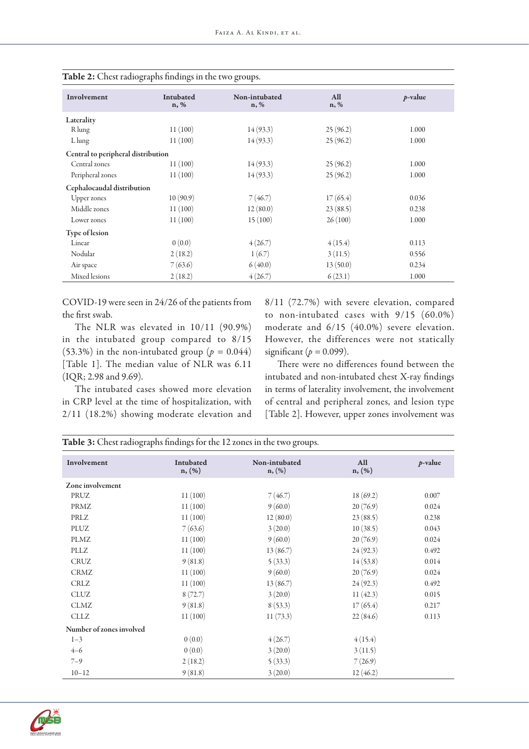| Involvement                        | Intubated<br>n, % | Non-intubated<br>$n, \%$ | All<br>n, % | $p$ -value |
|------------------------------------|-------------------|--------------------------|-------------|------------|
| Laterality                         |                   |                          |             |            |
| R lung                             | 11(100)           | 14(93.3)                 | 25(96.2)    | 1.000      |
| Llung                              | 11(100)           | 14(93.3)                 | 25(96.2)    | 1.000      |
| Central to peripheral distribution |                   |                          |             |            |
| Central zones                      | 11(100)           | 14(93.3)                 | 25(96.2)    | 1.000      |
| Peripheral zones                   | 11(100)           | 14(93.3)                 | 25(96.2)    | 1.000      |
| Cephalocaudal distribution         |                   |                          |             |            |
| <b>Upper</b> zones                 | 10(90.9)          | 7(46.7)                  | 17(65.4)    | 0.036      |
| Middle zones                       | 11(100)           | 12(80.0)                 | 23(88.5)    | 0.238      |
| Lower zones                        | 11(100)           | 15(100)                  | 26(100)     | 1.000      |
| <b>Type of lesion</b>              |                   |                          |             |            |
| Linear                             | 0(0.0)            | 4(26.7)                  | 4(15.4)     | 0.113      |
| Nodular                            | 2(18.2)           | 1(6.7)                   | 3(11.5)     | 0.556      |
| Air space                          | 7(63.6)           | 6(40.0)                  | 13(50.0)    | 0.234      |
| Mixed lesions                      | 2(18.2)           | 4(26.7)                  | 6(23.1)     | 1.000      |

| <b>Table 2:</b> Chest radiographs findings in the two groups. |  |  |  |
|---------------------------------------------------------------|--|--|--|
|---------------------------------------------------------------|--|--|--|

COVID-19 were seen in 24/26 of the patients from the first swab.

The NLR was elevated in 10/11 (90.9%) in the intubated group compared to 8/15 (53.3%) in the non-intubated group ( $p = 0.044$ ) [Table 1]. The median value of NLR was 6.11 (IQR; 2.98 and 9.69).

The intubated cases showed more elevation in CRP level at the time of hospitalization, with 2/11 (18.2%) showing moderate elevation and 8/11 (72.7%) with severe elevation, compared to non-intubated cases with 9/15 (60.0%) moderate and 6/15 (40.0%) severe elevation. However, the differences were not statically significant  $(p = 0.099)$ .

There were no differences found between the intubated and non-intubated chest X-ray findings in terms of laterality involvement, the involvement of central and peripheral zones, and lesion type [Table 2]. However, upper zones involvement was

| <b>Table 3:</b> Chest radiographs findings for the 12 zones in the two groups. |                     |                            |               |            |  |
|--------------------------------------------------------------------------------|---------------------|----------------------------|---------------|------------|--|
| Involvement                                                                    | Intubated<br>n, (%) | Non-intubated<br>$n, (\%)$ | All<br>n, (%) | $p$ -value |  |
| Zone involvement                                                               |                     |                            |               |            |  |
| PRUZ                                                                           | 11(100)             | 7(46.7)                    | 18(69.2)      | 0.007      |  |
| PRMZ                                                                           | 11(100)             | 9(60.0)                    | 20(76.9)      | 0.024      |  |
| PRLZ                                                                           | 11(100)             | 12(80.0)                   | 23(88.5)      | 0.238      |  |
| PLUZ                                                                           | 7(63.6)             | 3(20.0)                    | 10(38.5)      | 0.043      |  |
| PLMZ                                                                           | 11(100)             | 9(60.0)                    | 20(76.9)      | 0.024      |  |
| PLLZ                                                                           | 11(100)             | 13(86.7)                   | 24(92.3)      | 0.492      |  |
| <b>CRUZ</b>                                                                    | 9(81.8)             | 5(33.3)                    | 14(53.8)      | 0.014      |  |
| <b>CRMZ</b>                                                                    | 11(100)             | 9(60.0)                    | 20(76.9)      | 0.024      |  |
| <b>CRLZ</b>                                                                    | 11(100)             | 13(86.7)                   | 24(92.3)      | 0.492      |  |
| <b>CLUZ</b>                                                                    | 8(72.7)             | 3(20.0)                    | 11(42.3)      | 0.015      |  |
| <b>CLMZ</b>                                                                    | 9(81.8)             | 8(53.3)                    | 17(65.4)      | 0.217      |  |
| <b>CLLZ</b>                                                                    | 11(100)             | 11(73.3)                   | 22(84.6)      | 0.113      |  |
| Number of zones involved                                                       |                     |                            |               |            |  |
| $1 - 3$                                                                        | 0(0.0)              | 4(26.7)                    | 4(15.4)       |            |  |
| $4 - 6$                                                                        | 0(0.0)              | 3(20.0)                    | 3(11.5)       |            |  |
| $7 - 9$                                                                        | 2(18.2)             | 5(33.3)                    | 7(26.9)       |            |  |
| $10 - 12$                                                                      | 9(81.8)             | 3(20.0)                    | 12(46.2)      |            |  |

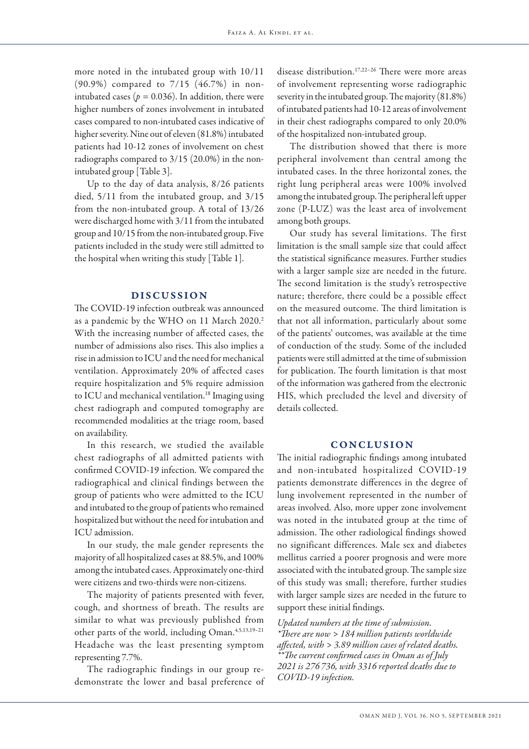more noted in the intubated group with 10/11 (90.9%) compared to 7/15 (46.7%) in nonintubated cases ( $p = 0.036$ ). In addition, there were higher numbers of zones involvement in intubated cases compared to non-intubated cases indicative of higher severity. Nine out of eleven (81.8%) intubated patients had 10-12 zones of involvement on chest radiographs compared to 3/15 (20.0%) in the nonintubated group [Table 3].

Up to the day of data analysis, 8/26 patients died, 5/11 from the intubated group, and 3/15 from the non-intubated group. A total of 13/26 were discharged home with 3/11 from the intubated group and 10/15 from the non-intubated group. Five patients included in the study were still admitted to the hospital when writing this study [Table 1].

## DISCUSSION

The COVID-19 infection outbreak was announced as a pandemic by the WHO on 11 March 2020.<sup>2</sup> With the increasing number of affected cases, the number of admissions also rises. This also implies a rise in admission to ICU and the need for mechanical ventilation. Approximately 20% of affected cases require hospitalization and 5% require admission to ICU and mechanical ventilation.<sup>18</sup> Imaging using chest radiograph and computed tomography are recommended modalities at the triage room, based on availability.

In this research, we studied the available chest radiographs of all admitted patients with confirmed COVID-19 infection. We compared the radiographical and clinical findings between the group of patients who were admitted to the ICU and intubated to the group of patients who remained hospitalized but without the need for intubation and ICU admission.

In our study, the male gender represents the majority of all hospitalized cases at 88.5%, and 100% among the intubated cases. Approximately one-third were citizens and two-thirds were non-citizens.

The majority of patients presented with fever, cough, and shortness of breath. The results are similar to what was previously published from other parts of the world, including Oman.<sup>4,5,13,19-21</sup> Headache was the least presenting symptom representing 7.7%.

The radiographic findings in our group redemonstrate the lower and basal preference of disease distribution.<sup>17,22-26</sup> There were more areas of involvement representing worse radiographic severity in the intubated group. The majority (81.8%) of intubated patients had 10-12 areas of involvement in their chest radiographs compared to only 20.0% of the hospitalized non-intubated group.

The distribution showed that there is more peripheral involvement than central among the intubated cases. In the three horizontal zones, the right lung peripheral areas were 100% involved among the intubated group. The peripheral left upper zone (P-LUZ) was the least area of involvement among both groups.

Our study has several limitations. The first limitation is the small sample size that could affect the statistical significance measures. Further studies with a larger sample size are needed in the future. The second limitation is the study's retrospective nature; therefore, there could be a possible effect on the measured outcome. The third limitation is that not all information, particularly about some of the patients' outcomes, was available at the time of conduction of the study. Some of the included patients were still admitted at the time of submission for publication. The fourth limitation is that most of the information was gathered from the electronic HIS, which precluded the level and diversity of details collected.

# **CONCLUSION**

The initial radiographic findings among intubated and non-intubated hospitalized COVID-19 patients demonstrate differences in the degree of lung involvement represented in the number of areas involved. Also, more upper zone involvement was noted in the intubated group at the time of admission. The other radiological findings showed no significant differences. Male sex and diabetes mellitus carried a poorer prognosis and were more associated with the intubated group. The sample size of this study was small; therefore, further studies with larger sample sizes are needed in the future to support these initial findings.

*Updated numbers at the time of submission. \*There are now > 184 million patients worldwide affected, with > 3.89 million cases of related deaths. \*\*The current confirmed cases in Oman as of July 2021 is 276 736, with 3316 reported deaths due to COVID-19 infection.*